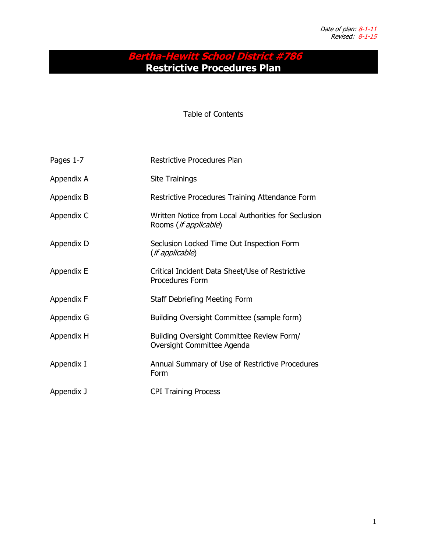# **Bertha-Hewitt School District #786 Restrictive Procedures Plan**

Table of Contents

| Pages 1-7  | Restrictive Procedures Plan                                                           |
|------------|---------------------------------------------------------------------------------------|
| Appendix A | Site Trainings                                                                        |
| Appendix B | Restrictive Procedures Training Attendance Form                                       |
| Appendix C | Written Notice from Local Authorities for Seclusion<br>Rooms ( <i>if applicable</i> ) |
| Appendix D | Seclusion Locked Time Out Inspection Form<br>(if applicable)                          |
| Appendix E | Critical Incident Data Sheet/Use of Restrictive<br><b>Procedures Form</b>             |
| Appendix F | Staff Debriefing Meeting Form                                                         |
| Appendix G | Building Oversight Committee (sample form)                                            |
| Appendix H | Building Oversight Committee Review Form/<br>Oversight Committee Agenda               |
| Appendix I | Annual Summary of Use of Restrictive Procedures<br>Form                               |
| Appendix J | <b>CPI Training Process</b>                                                           |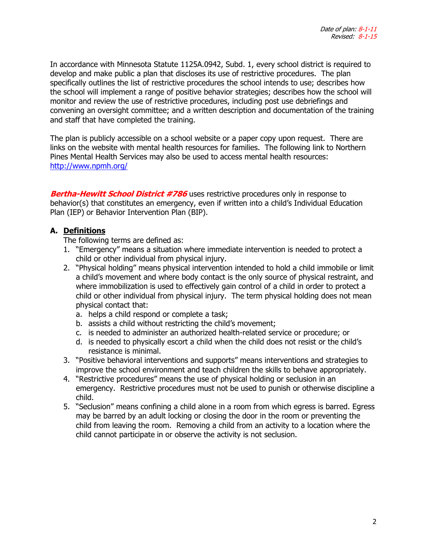In accordance with Minnesota Statute 1125A.0942, Subd. 1, every school district is required to develop and make public a plan that discloses its use of restrictive procedures. The plan specifically outlines the list of restrictive procedures the school intends to use; describes how the school will implement a range of positive behavior strategies; describes how the school will monitor and review the use of restrictive procedures, including post use debriefings and convening an oversight committee; and a written description and documentation of the training and staff that have completed the training.

The plan is publicly accessible on a school website or a paper copy upon request. There are links on the website with mental health resources for families. The following link to Northern Pines Mental Health Services may also be used to access mental health resources: <http://www.npmh.org/>

**Bertha-Hewitt School District #786** uses restrictive procedures only in response to behavior(s) that constitutes an emergency, even if written into a child's Individual Education Plan (IEP) or Behavior Intervention Plan (BIP).

## **A. Definitions**

The following terms are defined as:

- 1. "Emergency" means a situation where immediate intervention is needed to protect a child or other individual from physical injury.
- 2. "Physical holding" means physical intervention intended to hold a child immobile or limit a child's movement and where body contact is the only source of physical restraint, and where immobilization is used to effectively gain control of a child in order to protect a child or other individual from physical injury. The term physical holding does not mean physical contact that:
	- a. helps a child respond or complete a task;
	- b. assists a child without restricting the child's movement;
	- c. is needed to administer an authorized health-related service or procedure; or
	- d. is needed to physically escort a child when the child does not resist or the child's resistance is minimal.
- 3. "Positive behavioral interventions and supports" means interventions and strategies to improve the school environment and teach children the skills to behave appropriately.
- 4. "Restrictive procedures" means the use of physical holding or seclusion in an emergency. Restrictive procedures must not be used to punish or otherwise discipline a child.
- 5. "Seclusion" means confining a child alone in a room from which egress is barred. Egress may be barred by an adult locking or closing the door in the room or preventing the child from leaving the room. Removing a child from an activity to a location where the child cannot participate in or observe the activity is not seclusion.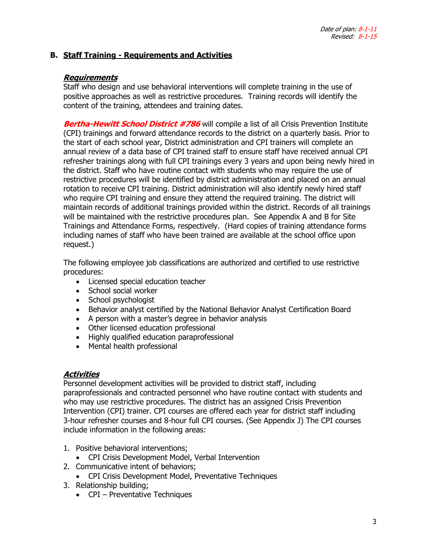## **B. Staff Training - Requirements and Activities**

#### **Requirements**

Staff who design and use behavioral interventions will complete training in the use of positive approaches as well as restrictive procedures. Training records will identify the content of the training, attendees and training dates.

**Bertha-Hewitt School District #786** will compile a list of all Crisis Prevention Institute (CPI) trainings and forward attendance records to the district on a quarterly basis. Prior to the start of each school year, District administration and CPI trainers will complete an annual review of a data base of CPI trained staff to ensure staff have received annual CPI refresher trainings along with full CPI trainings every 3 years and upon being newly hired in the district. Staff who have routine contact with students who may require the use of restrictive procedures will be identified by district administration and placed on an annual rotation to receive CPI training. District administration will also identify newly hired staff who require CPI training and ensure they attend the required training. The district will maintain records of additional trainings provided within the district. Records of all trainings will be maintained with the restrictive procedures plan. See Appendix A and B for Site Trainings and Attendance Forms, respectively. (Hard copies of training attendance forms including names of staff who have been trained are available at the school office upon request.)

The following employee job classifications are authorized and certified to use restrictive procedures:

- Licensed special education teacher
- School social worker
- School psychologist
- Behavior analyst certified by the National Behavior Analyst Certification Board
- A person with a master's degree in behavior analysis
- Other licensed education professional
- Highly qualified education paraprofessional
- Mental health professional

#### **Activities**

Personnel development activities will be provided to district staff, including paraprofessionals and contracted personnel who have routine contact with students and who may use restrictive procedures. The district has an assigned Crisis Prevention Intervention (CPI) trainer. CPI courses are offered each year for district staff including 3-hour refresher courses and 8-hour full CPI courses. (See Appendix J) The CPI courses include information in the following areas:

- 1. Positive behavioral interventions;
- CPI Crisis Development Model, Verbal Intervention
- 2. Communicative intent of behaviors;
	- CPI Crisis Development Model, Preventative Techniques
- 3. Relationship building;
	- CPI Preventative Techniques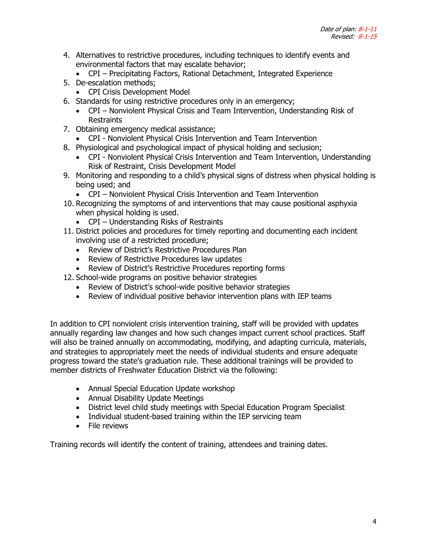- 4. Alternatives to restrictive procedures, including techniques to identify events and environmental factors that may escalate behavior;
	- CPI Precipitating Factors, Rational Detachment, Integrated Experience
- 5. De-escalation methods;
	- CPI Crisis Development Model
- 6. Standards for using restrictive procedures only in an emergency;
	- CPI Nonviolent Physical Crisis and Team Intervention, Understanding Risk of Restraints
- 7. Obtaining emergency medical assistance;
	- CPI Nonviolent Physical Crisis Intervention and Team Intervention
- 8. Physiological and psychological impact of physical holding and seclusion;
	- CPI Nonviolent Physical Crisis Intervention and Team Intervention, Understanding Risk of Restraint, Crisis Development Model
- 9. Monitoring and responding to a child's physical signs of distress when physical holding is being used; and
	- CPI Nonviolent Physical Crisis Intervention and Team Intervention
- 10. Recognizing the symptoms of and interventions that may cause positional asphyxia when physical holding is used.
	- CPI Understanding Risks of Restraints
- 11. District policies and procedures for timely reporting and documenting each incident involving use of a restricted procedure;
	- Review of District's Restrictive Procedures Plan
	- Review of Restrictive Procedures law updates
	- Review of District's Restrictive Procedures reporting forms
- 12. School-wide programs on positive behavior strategies
	- Review of District's school-wide positive behavior strategies
	- Review of individual positive behavior intervention plans with IEP teams

In addition to CPI nonviolent crisis intervention training, staff will be provided with updates annually regarding law changes and how such changes impact current school practices. Staff will also be trained annually on accommodating, modifying, and adapting curricula, materials, and strategies to appropriately meet the needs of individual students and ensure adequate progress toward the state's graduation rule. These additional trainings will be provided to member districts of Freshwater Education District via the following:

- Annual Special Education Update workshop
- Annual Disability Update Meetings
- District level child study meetings with Special Education Program Specialist
- Individual student-based training within the IEP servicing team
- File reviews

Training records will identify the content of training, attendees and training dates.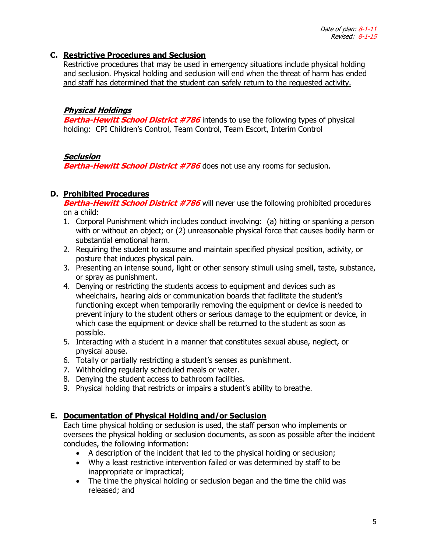#### **C. Restrictive Procedures and Seclusion**

Restrictive procedures that may be used in emergency situations include physical holding and seclusion. Physical holding and seclusion will end when the threat of harm has ended and staff has determined that the student can safely return to the requested activity.

#### **Physical Holdings**

**Bertha-Hewitt School District #786** intends to use the following types of physical holding: CPI Children's Control, Team Control, Team Escort, Interim Control

## **Seclusion**

**Bertha-Hewitt School District #786** does not use any rooms for seclusion.

## **D. Prohibited Procedures**

**Bertha-Hewitt School District #786** will never use the following prohibited procedures on a child:

- 1. Corporal Punishment which includes conduct involving: (a) hitting or spanking a person with or without an object; or (2) unreasonable physical force that causes bodily harm or substantial emotional harm.
- 2. Requiring the student to assume and maintain specified physical position, activity, or posture that induces physical pain.
- 3. Presenting an intense sound, light or other sensory stimuli using smell, taste, substance, or spray as punishment.
- 4. Denying or restricting the students access to equipment and devices such as wheelchairs, hearing aids or communication boards that facilitate the student's functioning except when temporarily removing the equipment or device is needed to prevent injury to the student others or serious damage to the equipment or device, in which case the equipment or device shall be returned to the student as soon as possible.
- 5. Interacting with a student in a manner that constitutes sexual abuse, neglect, or physical abuse.
- 6. Totally or partially restricting a student's senses as punishment.
- 7. Withholding regularly scheduled meals or water.
- 8. Denying the student access to bathroom facilities.
- 9. Physical holding that restricts or impairs a student's ability to breathe.

## **E. Documentation of Physical Holding and/or Seclusion**

Each time physical holding or seclusion is used, the staff person who implements or oversees the physical holding or seclusion documents, as soon as possible after the incident concludes, the following information:

- A description of the incident that led to the physical holding or seclusion;
- Why a least restrictive intervention failed or was determined by staff to be inappropriate or impractical;
- The time the physical holding or seclusion began and the time the child was released; and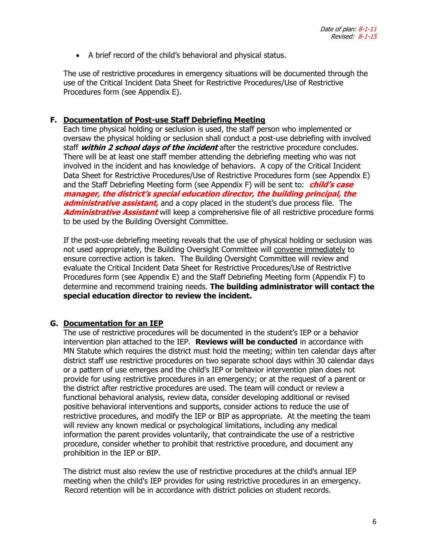• A brief record of the child's behavioral and physical status.

The use of restrictive procedures in emergency situations will be documented through the use of the Critical Incident Data Sheet for Restrictive Procedures/Use of Restrictive Procedures form (see Appendix E).

#### **F. Documentation of Post-use Staff Debriefing Meeting**

Each time physical holding or seclusion is used, the staff person who implemented or oversaw the physical holding or seclusion shall conduct a post-use debriefing with involved staff **within 2 school days of the incident** after the restrictive procedure concludes. There will be at least one staff member attending the debriefing meeting who was not involved in the incident and has knowledge of behaviors. A copy of the Critical Incident Data Sheet for Restrictive Procedures/Use of Restrictive Procedures form (see Appendix E) and the Staff Debriefing Meeting form (see Appendix F) will be sent to: **child's case manager, the district's special education director, the building principal, the administrative assistant,** and a copy placed in the student's due process file. The **Administrative Assistant** will keep a comprehensive file of all restrictive procedure forms to be used by the Building Oversight Committee.

If the post-use debriefing meeting reveals that the use of physical holding or seclusion was not used appropriately, the Building Oversight Committee will convene immediately to ensure corrective action is taken. The Building Oversight Committee will review and evaluate the Critical Incident Data Sheet for Restrictive Procedures/Use of Restrictive Procedures form (see Appendix E) and the Staff Debriefing Meeting form (Appendix F) to determine and recommend training needs. **The building administrator will contact the special education director to review the incident.**

#### **G. Documentation for an IEP**

The use of restrictive procedures will be documented in the student's IEP or a behavior intervention plan attached to the IEP. **Reviews will be conducted** in accordance with MN Statute which requires the district must hold the meeting; within ten calendar days after district staff use restrictive procedures on two separate school days within 30 calendar days or a pattern of use emerges and the child's IEP or behavior intervention plan does not provide for using restrictive procedures in an emergency; or at the request of a parent or the district after restrictive procedures are used. The team will conduct or review a functional behavioral analysis, review data, consider developing additional or revised positive behavioral interventions and supports, consider actions to reduce the use of restrictive procedures, and modify the IEP or BIP as appropriate. At the meeting the team will review any known medical or psychological limitations, including any medical information the parent provides voluntarily, that contraindicate the use of a restrictive procedure, consider whether to prohibit that restrictive procedure, and document any prohibition in the IEP or BIP.

The district must also review the use of restrictive procedures at the child's annual IEP meeting when the child's IEP provides for using restrictive procedures in an emergency. Record retention will be in accordance with district policies on student records.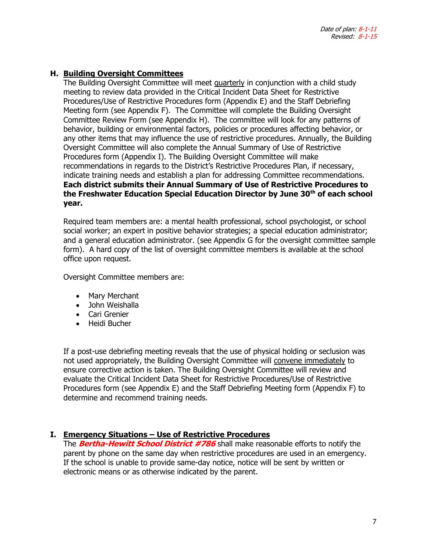# **H. Building Oversight Committees**

The Building Oversight Committee will meet quarterly in conjunction with a child study meeting to review data provided in the Critical Incident Data Sheet for Restrictive Procedures/Use of Restrictive Procedures form (Appendix E) and the Staff Debriefing Meeting form (see Appendix F). The Committee will complete the Building Oversight Committee Review Form (see Appendix H). The committee will look for any patterns of behavior, building or environmental factors, policies or procedures affecting behavior, or any other items that may influence the use of restrictive procedures. Annually, the Building Oversight Committee will also complete the Annual Summary of Use of Restrictive Procedures form (Appendix I). The Building Oversight Committee will make recommendations in regards to the District's Restrictive Procedures Plan, if necessary, indicate training needs and establish a plan for addressing Committee recommendations. **Each district submits their Annual Summary of Use of Restrictive Procedures to the Freshwater Education Special Education Director by June 30th of each school year.**

Required team members are: a mental health professional, school psychologist, or school social worker; an expert in positive behavior strategies; a special education administrator; and a general education administrator. (see Appendix G for the oversight committee sample form). A hard copy of the list of oversight committee members is available at the school office upon request.

Oversight Committee members are:

- Mary Merchant
- John Weishalla
- Cari Grenier
- Heidi Bucher

If a post-use debriefing meeting reveals that the use of physical holding or seclusion was not used appropriately, the Building Oversight Committee will convene immediately to ensure corrective action is taken. The Building Oversight Committee will review and evaluate the Critical Incident Data Sheet for Restrictive Procedures/Use of Restrictive Procedures form (see Appendix E) and the Staff Debriefing Meeting form (Appendix F) to determine and recommend training needs.

## **I. Emergency Situations – Use of Restrictive Procedures**

The **Bertha-Hewitt School District #786** shall make reasonable efforts to notify the parent by phone on the same day when restrictive procedures are used in an emergency. If the school is unable to provide same-day notice, notice will be sent by written or electronic means or as otherwise indicated by the parent.